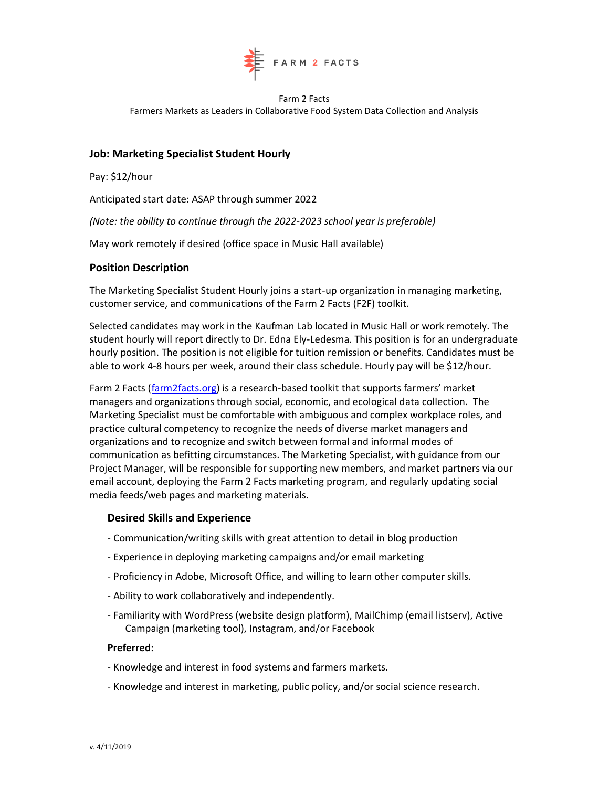

Farm 2 Facts Farmers Markets as Leaders in Collaborative Food System Data Collection and Analysis

## **Job: Marketing Specialist Student Hourly**

Pay: \$12/hour

Anticipated start date: ASAP through summer 2022

*(Note: the ability to continue through the 2022-2023 school year is preferable)*

May work remotely if desired (office space in Music Hall available)

### **Position Description**

The Marketing Specialist Student Hourly joins a start-up organization in managing marketing, customer service, and communications of the Farm 2 Facts (F2F) toolkit.

Selected candidates may work in the Kaufman Lab located in Music Hall or work remotely. The student hourly will report directly to Dr. Edna Ely-Ledesma. This position is for an undergraduate hourly position. The position is not eligible for tuition remission or benefits. Candidates must be able to work 4-8 hours per week, around their class schedule. Hourly pay will be \$12/hour.

Farm 2 Facts [\(farm2facts.org\)](about:blank) is a research-based toolkit that supports farmers' market managers and organizations through social, economic, and ecological data collection. The Marketing Specialist must be comfortable with ambiguous and complex workplace roles, and practice cultural competency to recognize the needs of diverse market managers and organizations and to recognize and switch between formal and informal modes of communication as befitting circumstances. The Marketing Specialist, with guidance from our Project Manager, will be responsible for supporting new members, and market partners via our email account, deploying the Farm 2 Facts marketing program, and regularly updating social media feeds/web pages and marketing materials.

#### **Desired Skills and Experience**

- Communication/writing skills with great attention to detail in blog production
- Experience in deploying marketing campaigns and/or email marketing
- Proficiency in Adobe, Microsoft Office, and willing to learn other computer skills.
- Ability to work collaboratively and independently.
- Familiarity with WordPress (website design platform), MailChimp (email listserv), Active Campaign (marketing tool), Instagram, and/or Facebook

#### **Preferred:**

- Knowledge and interest in food systems and farmers markets.
- Knowledge and interest in marketing, public policy, and/or social science research.